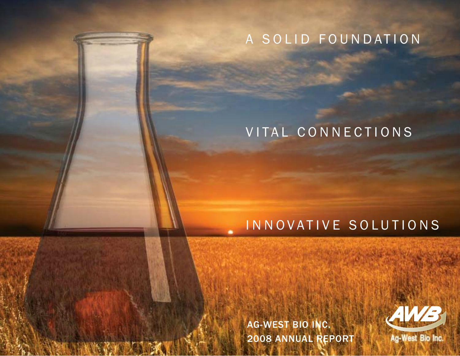# A SOLID FOUNDATION

# VITAL CONNECTIONS

# INNOVATIVE SOLUTIONS

AG-WEST BIO INC. 2008 ANNUAL REPORT

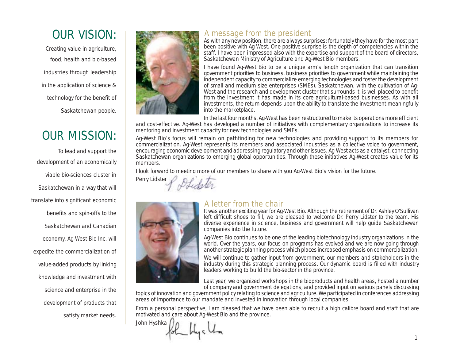# OUR VISION:

Creating value in agriculture, food, health and bio-based industries through leadership in the application of science & technology for the benefit of Saskatchewan people.

# OUR MISSION:

To lead and support the development of an economically viable bio-sciences cluster in Saskatchewan in a way that will translate into significant economic benefits and spin-offs to the Saskatchewan and Canadian economy. Ag-West Bio Inc. will expedite the commercialization of value-added products by linking knowledge and investment with science and enterprise in the development of products that satisfy market needs.



#### A message from the president

As with any new position, there are always surprises; fortunately they have for the most part been positive with Ag-West. One positive surprise is the depth of competencies within the staff. I have been impressed also with the expertise and support of the board of directors, Saskatchewan Ministry of Agriculture and Ag-West Bio members.

I have found Ag-West Bio to be a unique arm's length organization that can transition government priorities to business, business priorities to government while maintaining the independent capacity to commercialize emerging technologies and foster the development of small and medium size enterprises (SMEs). Saskatchewan, with the cultivation of Ag-West and the research and development cluster that surrounds it, is well placed to benefit from the investment it has made in its core agricultural-based businesses. As with all investments, the return depends upon the ability to translate the investment meaningfully into the marketplace.

In the last four months, Ag-West has been restructured to make its operations more efficient and cost-effective. Ag-West has developed a number of initiatives with complementary organizations to increase its mentoring and investment capacity for new technologies and SMEs.

Ag-West Bio's focus will remain on pathfinding for new technologies and providing support to its members for commercialization. Ag-West represents its members and associated industries as a collective voice to government, encouraging economic development and addressing regulatory and other issues. Ag-West acts as a catalyst, connecting Saskatchewan organizations to emerging global opportunities. Through these initiatives Ag-West creates value for its members.

I look forward to meeting more of our members to share with you Ag-West Bio's vision for the future.

Perry Lidster



#### A letter from the chair

It was another exciting year for Ag-West Bio. Although the retirement of Dr. Ashley O'Sullivan left difficult shoes to fill, we are pleased to welcome Dr. Perry Lidster to the team. His diverse experience in science, business and government will help guide Saskatchewan companies into the future.

Ag-West Bio continues to be one of the leading biotechnology industry organizations in the world. Over the years, our focus on programs has evolved and we are now going through another strategic planning process which places increased emphasis on commercialization.

We will continue to gather input from government, our members and stakeholders in the industry during this strategic planning process. Our dynamic board is filled with industry leaders working to build the bio-sector in the province.

Last year, we organized workshops in the bioproducts and health areas, hosted a number of company and government delegations, and provided input on various panels discussing

topics of innovation and government policy relating to science and agriculture. We participated in conferences addressing areas of importance to our mandate and invested in innovation through local companies.

From a personal perspective, I am pleased that we have been able to recruit a high calibre board and staff that are motivated and care about Ag-West Bio and the province.

John Hyshka tok by ch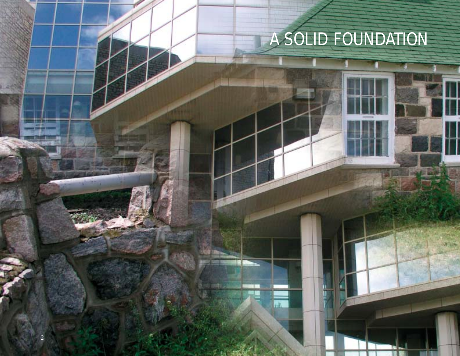# A SOLID FOUNDATION

ÆЧ

的复数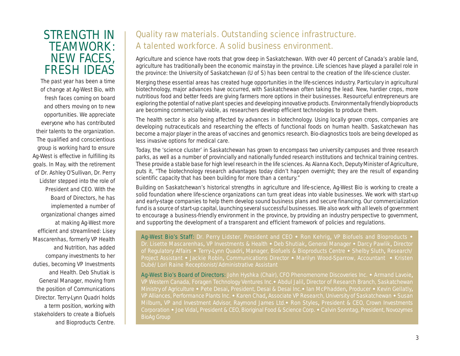### STRENGTH IN TEAMWORK: NEW FACES, FRESH IDEAS

The past year has been a time of change at Ag-West Bio, with fresh faces coming on board and others moving on to new opportunities. We appreciate everyone who has contributed their talents to the organization. The qualified and conscientious group is working hard to ensure Ag-West is effective in fulfilling its goals. In May, with the retirement of Dr. Ashley O'Sullivan, Dr. Perry Lidster stepped into the role of President and CEO. With the Board of Directors, he has implemented a number of organizational changes aimed at making Ag-West more efficient and streamlined: Lisey Mascarenhas, formerly VP Health and Nutrition, has added company investments to her duties, becoming VP Investments and Health. Deb Shutiak is General Manager, moving from the position of Communications Director. Terry-Lynn Quadri holds a term position, working with stakeholders to create a Biofuels and Bioproducts Centre.

### Quality raw materials. Outstanding science infrastructure. A talented workforce. A solid business environment.

Agriculture and science have roots that grow deep in Saskatchewan. With over 40 percent of Canada's arable land, agriculture has traditionally been the economic mainstay in the province. Life sciences have played a parallel role in the province: the University of Saskatchewan (U of S) has been central to the creation of the life-science cluster.

Merging these essential areas has created huge opportunities in the life-sciences industry. Particulary in agricultural biotechnology, major advances have occurred, with Saskatchewan often taking the lead. New, hardier crops, more nutritious food and better feeds are giving farmers more options in their businesses. Resourceful entrepreneurs are exploring the potential of native plant species and developing innovative products. Environmentally friendly bioproducts are becoming commercially viable, as researchers develop efficient technologies to produce them.

The health sector is also being affected by advances in biotechnology. Using locally grown crops, companies are developing nutraceuticals and researching the effects of functional foods on human health. Saskatchewan has become a major player in the areas of vaccines and genomics research. Bio-diagnostics tools are being developed as less invasive options for medical care.

Today, the 'science cluster' in Saskatchewan has grown to encompass two university campuses and three research parks, as well as a number of provincially and nationally funded research institutions and technical training centres. These provide a stable base for high level research in the life sciences. As Alanna Koch, Deputy Minister of Agriculture, puts it, "The biotechnology research advantages today didn't happen overnight; they are the result of expanding scientific capacity that has been building for more than a century."

Building on Saskatchewan's historical strengths in agriculture and life-science, Ag-West Bio is working to create a solid foundation where life-science organizations can turn great ideas into viable businesses. We work with start-up and early-stage companies to help them develop sound business plans and secure financing. Our commercialization fund is a source of start-up capital, launching several successful businesses. We also work with all levels of government to encourage a business-friendly environment in the province, by providing an industry perspective to government, and supporting the development of a transparent and efficient framework of policies and regulations.

Ag-West Bio's Staff: Dr. Perry Lidster, President and CEO • Ron Kehrig, VP Biofuels and Bioproducts • Dr. Lisette Mascarenhas, VP Investments & Health • Deb Shutiak, General Manager • Darcy Pawlik, Director Project Assistant • Jackie Robin, Communications Director • Marilyn Wood-Sparrow, Accountant • Kristen Dubé/Lori Raine Receptionist/Administrative Assistant

Ag-West Bio's Board of Directors: John Hyshka (Chair), CFO Phenomenome Discoveries Inc. • Armand Lavoie, VP Western Canada, Foragen Technology Ventures Inc. • Abdul Jalil, Director of Research Branch, Saskatchewan Ministry of Agriculture • Pete Desai, President, Desai & Desai Inc. • Ian McPhadden, Producer • Kevin Gellatly, Milburn, VP and Investment Advisor, Raymond James Ltd. • Ron Styles, President & CEO, Crown Investments BioAg Group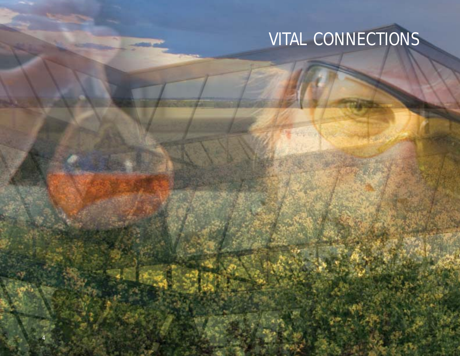# VITAL CONNECTIONS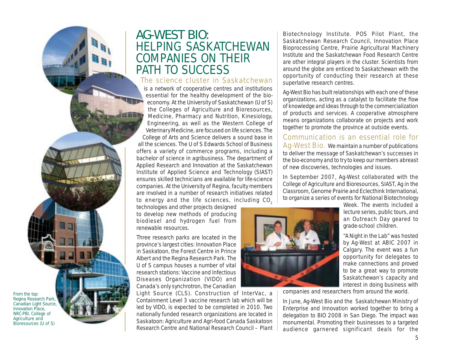## AG-WEST BIO: HELPING SASKATCHEWAN COMPANIES ON THEIR PATH TO SUCCESS

#### The science cluster in Saskatchewan

is a network of cooperative centres and institutions essential for the healthy development of the bioeconomy. At the University of Saskatchewan (U of S) the Colleges of Agriculture and Bioresources, Medicine, Pharmacy and Nutrition, Kinesiology, Engineering, as well as the Western College of Veterinary Medicine, are focused on life sciences. The College of Arts and Science delivers a sound base in all the sciences. The U of S Edwards School of Business offers a variety of commerce programs, including a bachelor of science in agribusiness. The department of Applied Research and Innovation at the Saskatchewan Institute of Applied Science and Technology (SIAST) ensures skilled technicians are available for life-science companies. At the University of Regina, faculty members are involved in a number of research initiatives related to energy and the life sciences, including CO $_{_2}$ 

technologies and other projects designed to develop new methods of producing biodiesel and hydrogen fuel from renewable resources.

Three research parks are located in the province's largest cities: Innovation Place in Saskatoon, the Forest Centre in Prince Albert and the Regina Research Park. The U of S campus houses a number of vital research stations: Vaccine and Infectious Diseases Organization (VIDO) and Canada's only synchrotron, the Canadian

Light Source (CLS). Construction of InterVac, a Containment Level 3 vaccine research lab which will be led by VIDO, is expected to be completed in 2010. Two nationally funded research organizations are located in Saskatoon: Agriculture and Agri-food Canada Saskatoon Research Centre and National Research Council – Plant

Biotechnology Institute. POS Pilot Plant, the Saskatchewan Research Council, Innovation Place Bioprocessing Centre, Prairie Agricultural Machinery Institute and the Saskatchewan Food Research Centre are other integral players in the cluster. Scientists from around the globe are enticed to Saskatchewan with the opportunity of conducting their research at these superlative research centres.

Ag-West Bio has built relationships with each one of these organizations, acting as a catalyst to facilitate the flow of knowledge and ideas through to the commercialization of products and services. A cooperative atmosphere means organizations collaborate on projects and work together to promote the province at outside events.

Communication is an essential role for Ag-West Bio. We maintain a number of publications to deliver the message of Saskatchewan's successes in the bio-economy and to try to keep our members abreast of new discoveries, technologies and issues.

In September 2007, Ag-West collaborated with the College of Agriculture and Bioresources, SIAST, Ag in the Classroom, Genome Prairie and Eclecthink International, to organize a series of events for National Biotechnology



Week. The events included a lecture series, public tours, and an Outreach Day geared to grade-school children. "A Night in the Lab" was hosted

by Ag-West at ABIC 2007 in Calgary. The event was a fun opportunity for delegates to make connections and proved to be a great way to promote Saskatchewan's capacity and interest in doing business with

companies and researchers from around the world.

In June, Ag-West Bio and the Saskatchewan Ministry of Enterprise and Innovation worked together to bring a delegation to BIO 2008 in San Diego. The impact was monumental. Promoting their businesses to a targeted audience garnered significant deals for the

From the top: Regina Research Park, Canadian Light Source, Innovation Place, NRC-PBI, College of Agriculture and Bioresources (U of S)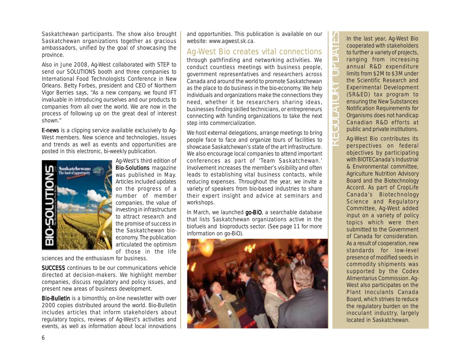Saskatchewan participants. The show also brought Saskatchewan organizations together as gracious ambassadors, unified by the goal of showcasing the province.

Also in June 2008, Ag-West collaborated with STEP to send our SOLUTIONS booth and three companies to International Food Technologists Conference in New Orleans. Betty Forbes, president and CEO of Northern Vigor Berries says, "As a new company, we found IFT invaluable in introducing ourselves and our products to companies from all over the world. We are now in the process of following up on the great deal of interest shown."

**E-news** is a clipping service available exclusively to Aq-West members. New science and technologies, issues and trends as well as events and opportunities are posted in this electronic, bi-weekly publication.



Ag-West's third edition of Bio-Solutions magazine was published in May. Articles included updates on the progress of a number of member companies, the value of investing in infrastructure to attract research and the promise of success in the Saskatchewan bioeconomy. The publication articulated the optimism of those in the life

sciences and the enthusiasm for business.

**SUCCESS** continues to be our communications vehicle directed at decision-makers. We highlight member companies, discuss regulatory and policy issues, and present new areas of business development.

Bio-Bulletin is a bimonthly, on-line newsletter with over 2000 copies distributed around the world. Bio-Bulletin includes articles that inform stakeholders about regulatory topics, reviews of Ag-West's activities and events, as well as information about local innovations

and opportunities. This publication is available on our website: www.agwest.sk.ca.

#### Ag-West Bio creates vital connections

through pathfinding and networking activities. We conduct countless meetings with business people, government representatives and researchers across Canada and around the world to promote Saskatchewan as *the* place to do business in the bio-economy. We help individuals and organizations make the connections they need, whether it be researchers sharing ideas, businesses finding skilled technicians, or entrepreneurs connecting with funding organizations to take the next step into commercialization.

We host external delegations, arrange meetings to bring people face to face and organize tours of facilities to showcase Saskatchewan's state of the art infrastructure. We also encourage local companies to attend important conferences as part of 'Team Saskatchewan.' Involvement increases the member's visibility and often leads to establishing vital business contacts, while reducing expenses. Throughout the year, we invite a variety of speakers from bio-based industries to share their expert insight and advice at seminars and workshops.

In March, we launched *go-BiO*, a searchable database that lists Saskatchewan organizations active in the biofuels and bioproducts sector. (See page 11 for more information on go-BiO).



In the last year, Ag-West Bio cooperated with stakeholders to further a variety of projects, ranging from increasing annual R&D expenditure limits from \$2M to \$3M under the Scientific Research and Experimental Development (SR&ED) tax program to ensuring the New Substances Notification Requirements for Organisms does not handicap Canadian R&D efforts at public and private institutions.

REGULATORY UPDATES

 $\Box$  $\mathsf{E}$ n.  $\overline{\mathsf{P}}$ 

**F** F T.  $\overline{\mathbf{a}}$ 

 $\mathcal{L}_{\mathcal{A}}$ 

n  $\overline{\phantom{0}}$ **College** 

> Ag-West Bio contributes its perspectives on federal objectives by participating with BIOTECanada's Industrial & Environmental committee, Agriculture Nutrition Advisory Board and the Biotechnology Accord. As part of CropLife Canada's Biotechnology Science and Regulatory Committee, Ag-West added input on a variety of policy topics which were then submitted to the Government of Canada for consideration. As a result of cooperation, new standards for low-level presence of modified seeds in commodity shipments was supported by the Codex Alimentarius Commission. Ag-West also participates on the Plant Inoculants Canada Board, which strives to reduce the regulatory burden on the inoculant industry, largely located in Saskatchewan.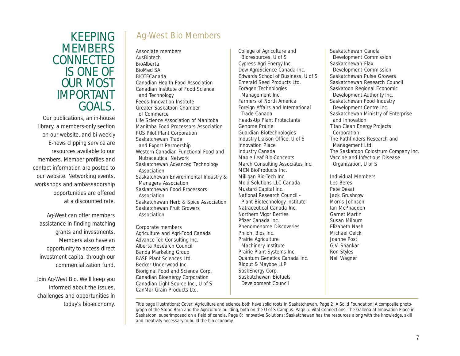### KEEPING **MEMBERS** CONNECTED IS ONE OF OUR MOST IMPORTANT GOALS.

Our publications, an in-house library, a members-only section on our website, and bi-weekly E-news clipping service are resources available to our members. Member profiles and contact information are posted to our website. Networking events, workshops and ambassadorship opportunities are offered at a discounted rate.

Ag-West can offer members assistance in finding matching grants and investments. Members also have an opportunity to access direct investment capital through our commercialization fund.

Join Ag-West Bio. We'll keep you informed about the issues, challenges and opportunities in

### Ag-West Bio Members

Associate members AusBiotech BioAlberta BioMed SA BIOTECanada Canadian Health Food Association Canadian Institute of Food Science and Technology Feeds Innovation Institute Greater Saskatoon Chamber of Commerce Life Science Association of Manitoba Manitoba Food Processors Association POS Pilot Plant Corporation Saskatchewan Trade and Export Partnership Western Canadian Functional Food and Nutraceutical Network Saskatchewan Advanced Technology Association Saskatchewan Environmental Industry & Managers Association Saskatchewan Food Processors Association Saskatchewan Herb & Spice Association Saskatchewan Fruit Growers Association Corporate members

Agriculture and Agri-Food Canada Advance-Tek Consulting Inc. Alberta Research Council Banda Marketing Group BASF Plant Sciences Ltd. Becker Underwood Inc. Bioriginal Food and Science Corp. Canadian Bioenergy Corporation Canadian Light Source Inc., U of S CanMar Grain Products Ltd.

College of Agriculture and Bioresources, U of S Cypress Agri Energy Inc. Dow AgroScience Canada Inc. Edwards School of Business, U of S Emerald Seed Products Ltd. Foragen Technologies Management Inc. Farmers of North America Foreign Affairs and International Trade Canada Heads-Up Plant Protectants Genome Prairie Guardian Biotechnologies Industry Liaison Office, U of S Innovation Place Industry Canada Maple Leaf Bio-Concepts March Consulting Associates Inc. MCN BioProducts Inc. Milligan Bio-Tech Inc. Mold Solutions LLC Canada Mustard Capital Inc. National Research Council - Plant Biotechnology Institute Natraceutical Canada Inc. Northern Vigor Berries Pfizer Canada Inc. Phenomenome Discoveries Philom Bios Inc. Prairie Agriculture Machinery Institute Prairie Plant Systems Inc. Quantum Genetics Canada Inc. Ridout & Maybbe LLP SaskEnergy Corp. Saskatchewan Biofuels Development Council

Saskatchewan Canola Development Commission Saskatchewan Flax Development Commission Saskatchewan Pulse Growers Saskatchewan Research Council Saskatoon Regional Economic Development Authority Inc. Saskatchewan Food Industry Development Centre Inc. Saskatchewan Ministry of Enterprise and Innovation Titan Clean Energy Projects Corporation The Pathfinders Research and Management Ltd. The Saskatoon Colostrum Company Inc. Vaccine and Infectious Disease Organization, U of S Individual Members

Les Beres Pete Desai Jack Grushcow Morris Johnson Ian McPhadden Garnet Martin Susan Milburn Elizabeth Nash Michael Oelck Joanne Post G.V. Shankar Ron Styles Neil Wagner

today's bio-economy. Title page illustrations: Cover: Agriculture and science both have solid roots in Saskatchewan. Page 2: A Solid Foundation: A composite photograph of the Stone Barn and the Agriculture building, both on the U of S Campus. Page 5: Vital Connections: The Galleria at Innovation Place in Saskatoon, superimposed on a field of canola. Page 8: Innovative Solutions: Saskatchewan has the resources along with the knowledge, skill and creativity necessary to build the bio-economy.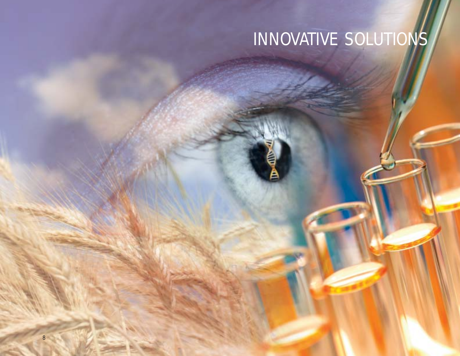# INNOVATIVE SOLUTIONS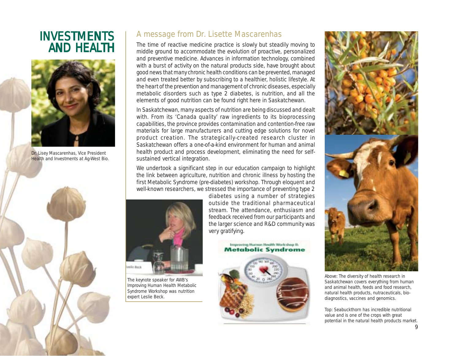## **INVESTMENTS AND HEALTH**



Dr. Lisey Mascarenhas, Vice President Health and Investments at Ag-West Bio.



#### A message from Dr. Lisette Mascarenhas

The time of reactive medicine practice is slowly but steadily moving to middle ground to accommodate the evolution of proactive, personalized and preventive medicine. Advances in information technology, combined with a burst of activity on the natural products side, have brought about good news that many chronic health conditions can be prevented, managed and even treated better by subscribing to a healthier, holistic lifestyle. At the heart of the prevention and management of chronic diseases, especially metabolic disorders such as type 2 diabetes, is nutrition, and all the elements of good nutrition can be found right here in Saskatchewan.

In Saskatchewan, many aspects of nutrition are being discussed and dealt with. From its 'Canada quality' raw ingredients to its bioprocessing capabilities, the province provides contamination and contention-free raw materials for large manufacturers and cutting edge solutions for novel product creation. The strategically-created research cluster in Saskatchewan offers a one-of-a-kind environment for human and animal health product and process development, eliminating the need for selfsustained vertical integration.

We undertook a significant step in our education campaign to highlight the link between agriculture, nutrition and chronic illness by hosting the first Metabolic Syndrome (pre-diabetes) workshop. Through eloquent and well-known researchers, we stressed the importance of preventing type 2



The keynote speaker for AWB's Improving Human Health Metabolic Syndrome Workshop was nutrition expert Leslie Beck.

diabetes using a number of strategies outside the traditional pharmaceutical stream. The attendance, enthusiasm and feedback received from our participants and the larger science and R&D community was very gratifying.





Above: The diversity of health research in Saskatchewan covers everything from human and animal health, feeds and food research, natural health products, nutraceuticals, biodiagnostics, vaccines and genomics.

Top: Seabuckthorn has incredible nutritional value and is one of the crops with great potential in the natural health products market.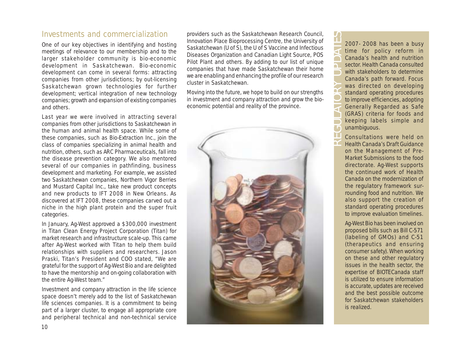#### Investments and commercialization

One of our key objectives in identifying and hosting meetings of relevance to our membership and to the larger stakeholder community is bio-economic development in Saskatchewan. Bio-economic development can come in several forms: attracting companies from other jurisdictions; by out-licensing Saskatchewan grown technologies for further development; vertical integration of new technology companies; growth and expansion of existing companies and others.

Last year we were involved in attracting several companies from other jurisdictions to Saskatchewan in the human and animal health space. While some of these companies, such as Bio-Extraction Inc., join the class of companies specializing in animal health and nutrition, others, such as ARC Pharmaceuticals, fall into the disease prevention category. We also mentored several of our companies in pathfinding, business development and marketing. For example, we assisted two Saskatchewan companies, Northern Vigor Berries and Mustard Capital Inc., take new product concepts and new products to IFT 2008 in New Orleans. As discovered at IFT 2008, these companies carved out a niche in the high plant protein and the super fruit categories.

In January, Ag-West approved a \$300,000 investment in Titan Clean Energy Project Corporation (Titan) for market research and infrastructure scale-up. This came after Ag-West worked with Titan to help them build relationships with suppliers and researchers. Jason Praski, Titan's President and COO stated, "We are grateful for the support of Ag-West Bio and are delighted to have the mentorship and on-going collaboration with the entire Ag-West team."

Investment and company attraction in the life science space doesn't merely add to the list of Saskatchewan life sciences companies. It is a commitment to being part of a larger cluster, to engage all appropriate core and peripheral technical and non-technical service

providers such as the Saskatchewan Research Council, Innovation Place Bioprocessing Centre, the University of Saskatchewan (U of S), the U of S Vaccine and Infectious Diseases Organization and Canadian Light Source, POS Pilot Plant and others. By adding to our list of unique companies that have made Saskatchewan their home we are enabling and enhancing the profile of our research cluster in Saskatchewan.

Moving into the future, we hope to build on our strengths in investment and company attraction and grow the bioeconomic potential and reality of the province.



2007- 2008 has been a busy time for policy reform in Canada's health and nutrition sector. Health Canada consulted with stakeholders to determine Canada's path forward. Focus was directed on developing standard operating procedures to improve efficiencies, adopting Generally Regarded as Safe (GRAS) criteria for foods and keeping labels simple and unambiguous. REGULATORY UPDATES

Consultations were held on Health Canada's *Draft Guidance on the Management of Pre-Market Submissions* to the food directorate. Ag-West supports the continued work of Health Canada on the modernization of the regulatory framework surrounding food and nutrition. We also support the creation of standard operating procedures to improve evaluation timelines.

Ag-West Bio has been involved on proposed bills such as Bill C-571 (labeling of GMOs) and C-51 (therapeutics and ensuring consumer safety). When working on these and other regulatory issues in the health sector, the expertise of BIOTECanada staff is utilized to ensure information is accurate, updates are received and the best possible outcome for Saskatchewan stakeholders is realized.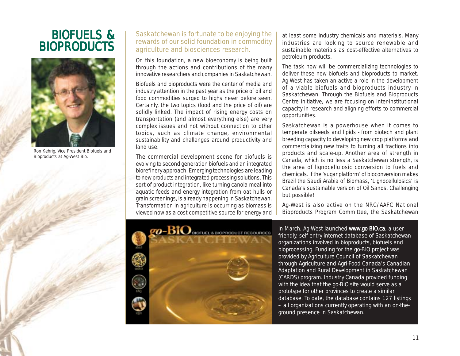# BIOFUELS & **BIOPRODUCTS**



Ron Kehrig, Vice President Biofuels and Bioproducts at Ag-West Bio.

#### Saskatchewan is fortunate to be enjoying the rewards of our solid foundation in commodity agriculture and biosciences research.

On this foundation, a new bioeconomy is being built through the actions and contributions of the many innovative researchers and companies in Saskatchewan.

Biofuels and bioproducts were the center of media and industry attention in the past year as the price of oil and food commodities surged to highs never before seen. Certainly, the two topics (food and the price of oil) are solidly linked. The impact of rising energy costs on transportation (and almost everything else) are very complex issues and not without connection to other topics, such as climate change, environmental sustainability and challenges around productivity and land use.

The commercial development scene for biofuels is evolving to second generation biofuels and an integrated biorefinery approach. Emerging technologies are leading to new products and integrated processing solutions. This sort of product integration, like turning canola meal into aquatic feeds and energy integration from oat hulls or grain screenings, is already happening in Saskatchewan. Transformation in agriculture is occurring as biomass is viewed now as a cost-competitive source for energy and

at least some industry chemicals and materials. Many industries are looking to source renewable and sustainable materials as cost-effective alternatives to petroleum products.

The task now will be commercializing technologies to deliver these new biofuels and bioproducts to market. Ag-West has taken an active a role in the development of a viable biofuels and bioproducts industry in Saskatchewan. Through the Biofuels and Bioproducts Centre initiative, we are focusing on inter-institutional capacity in research and aligning efforts to commercial opportunities.

Saskatchewan is a powerhouse when it comes to temperate oilseeds and lipids - from biotech and plant breeding capacity to developing new crop platforms and commercializing new traits to turning all fractions into products and scale-up. Another area of strength in Canada, which is no less a Saskatchewan strength, is the area of lignocellulosic conversion to fuels and chemicals. If the 'sugar platform' of bioconversion makes Brazil the Saudi Arabia of Biomass, 'Lignocellulosics' is Canada's sustainable version of Oil Sands. Challenging but possible!

Ag-West is also active on the NRC/AAFC National Bioproducts Program Committee, the Saskatchewan



In March, Ag-West launched www.go-BiO.ca, a userfriendly, self-entry internet database of Saskatchewan organizations involved in bioproducts, biofuels and bioprocessing. Funding for the *go-BiO* project was provided by Agriculture Council of Saskatchewan through Agriculture and Agri-Food Canada's Canadian Adaptation and Rural Development in Saskatchewan (CARDS) program. Industry Canada provided funding with the idea that the go-BiO site would serve as a prototype for other provinces to create a similar database. To date, the database contains 127 listings – all organizations currently operating with an on-theground presence in Saskatchewan.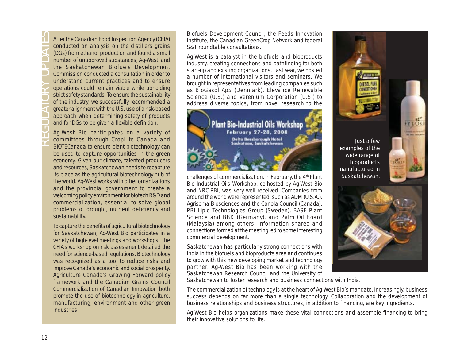After the Canadian Food Inspection Agency (CFIA)<br>
conducted an analysis on the distillers grains<br>
(DGs) from ethanol production and found a small<br>
number of unapproved substances, Ag-West and<br>
the Saskatchewan Biofuels Dev conducted an analysis on the distillers grains (DGs) from ethanol production and found a small number of unapproved substances, Ag-West and the Saskatchewan Biofuels Development Commission conducted a consultation in order to understand current practices and to ensure operations could remain viable while upholding strict safety standards. To ensure the sustainability of the industry, we successfully recommended a greater alignment with the U.S. use of a risk-based approach when determining safety of products and for DGs to be given a flexible definition.

Ag-West Bio participates on a variety of committees through CropLife Canada and BIOTECanada to ensure plant biotechnology can be used to capture opportunities in the green economy. Given our climate, talented producers and resources, Saskatchewan needs to recapture its place as the agricultural biotechnology hub of the world. Ag-West works with other organizations and the provincial government to create a welcoming policy environment for biotech R&D and commercialization, essential to solve global problems of drought, nutrient deficiency and sustainability.

To capture the benefits of agricultural biotechnology for Saskatchewan, Ag-West Bio participates in a variety of high-level meetings and workshops. The CFIA's workshop on risk assessment detailed the need for science-based regulations. Biotechnology was recognized as a tool to reduce risks and improve Canada's economic and social prosperity. Agriculture Canada's *Growing Forward* policy framework and the Canadian Grains Council *Commercialization of Canadian Innovation* both promote the use of biotechnology in agriculture, manufacturing, environment and other green industries.

Biofuels Development Council, the Feeds Innovation Institute, the Canadian GreenCrop Network and federal S&T roundtable consultations.

Ag-West is a catalyst in the biofuels and bioproducts industry, creating connections and pathfinding for both start-up and existing organizations. Last year, we hosted a number of international visitors and seminars. We brought in representatives from leading companies such as BioGasol ApS (Denmark), Elevance Renewable Science (U.S.) and Verenium Corporation (U.S.) to address diverse topics, from novel research to the



challenges of commercialization. In February, the 4<sup>th</sup> Plant Bio Industrial Oils Workshop, co-hosted by Ag-West Bio and NRC-PBI, was very well received. Companies from around the world were represented, such as ADM (U.S.A.), Agrisoma Biosciences and the Canola Council (Canada), PBI Lipid Technologies Group (Sweden), BASF Plant Science and BBK (Germany), and Palm Oil Board (Malaysia) among others. Information shared and connections formed at the meeting led to some interesting commercial development.

Saskatchewan has particularly strong connections with India in the biofuels and bioproducts area and continues to grow with this new developing market and technology partner. Ag-West Bio has been working with the Saskatchewan Research Council and the University of





Saskatchewan to foster research and business connections with India.

The commercialization of technology is at the heart of Ag-West Bio's mandate. Increasingly, business success depends on far more than a single technology. Collaboration and the development of business relationships and business structures, in addition to financing, are key ingredients.

Ag-West Bio helps organizations make these vital connections and assemble financing to bring their innovative solutions to life.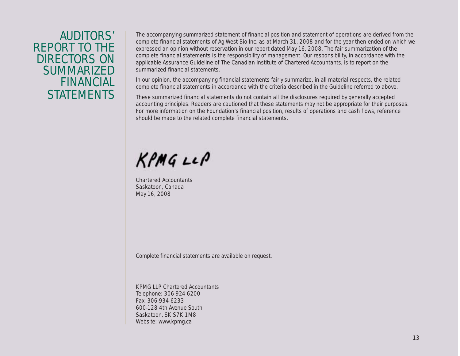## AUDITORS' REPORT TO THE DIRECTORS ON **SUMMARIZED** FINANCIAL **STATEMENTS**

The accompanying summarized statement of financial position and statement of operations are derived from the complete financial statements of Ag-West Bio Inc. as at March 31, 2008 and for the year then ended on which we expressed an opinion without reservation in our report dated May 16, 2008. The fair summarization of the complete financial statements is the responsibility of management. Our responsibility, in accordance with the applicable Assurance Guideline of The Canadian Institute of Chartered Accountants, is to report on the summarized financial statements.

In our opinion, the accompanying financial statements fairly summarize, in all material respects, the related complete financial statements in accordance with the criteria described in the Guideline referred to above.

These summarized financial statements do not contain all the disclosures required by generally accepted accounting principles. Readers are cautioned that these statements may not be appropriate for their purposes. For more information on the Foundation's financial position, results of operations and cash flows, reference should be made to the related complete financial statements.

 $KPMGLLP$ 

Chartered Accountants Saskatoon, Canada May 16, 2008

Complete financial statements are available on request.

KPMG LLP Chartered Accountants Telephone: 306-924-6200 Fax: 306-934-6233 600-128 4th Avenue South Saskatoon, SK S7K 1M8 Website: www.kpmg.ca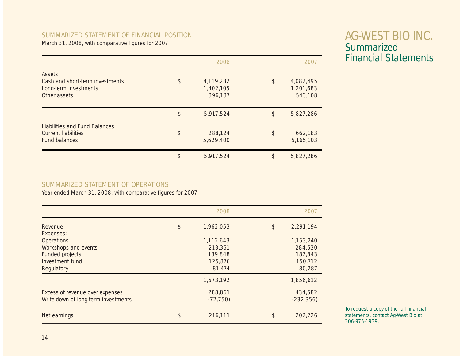#### SUMMARIZED STATEMENT OF FINANCIAL POSITION

March 31, 2008, with comparative figures for 2007

|                                                                                            |            | 2008                              | 2007                                    |
|--------------------------------------------------------------------------------------------|------------|-----------------------------------|-----------------------------------------|
| Assets<br>Cash and short-term investments<br>Long-term investments<br>Other assets         | $\sqrt{3}$ | 4,119,282<br>1,402,105<br>396,137 | \$<br>4,082,495<br>1,201,683<br>543,108 |
|                                                                                            | \$         | 5,917,524                         | \$<br>5,827,286                         |
| <b>Liabilities and Fund Balances</b><br><b>Current liabilities</b><br><b>Fund balances</b> | \$         | 288,124<br>5,629,400              | \$<br>662,183<br>5,165,103              |
|                                                                                            | \$         | 5,917,524                         | \$<br>5,827,286                         |

#### SUMMARIZED STATEMENT OF OPERATIONS

Year ended March 31, 2008, with comparative figures for 2007

|                                                                                                      |               | 2008                                                 | 2007                                                 |
|------------------------------------------------------------------------------------------------------|---------------|------------------------------------------------------|------------------------------------------------------|
| Revenue<br>Expenses:                                                                                 | $\frac{1}{2}$ | 1,962,053                                            | \$<br>2,291,194                                      |
| <b>Operations</b><br>Workshops and events<br><b>Funded projects</b><br>Investment fund<br>Regulatory |               | 1,112,643<br>213,351<br>139,848<br>125,876<br>81,474 | 1,153,240<br>284,530<br>187,843<br>150,712<br>80,287 |
|                                                                                                      |               | 1,673,192                                            | 1,856,612                                            |
| Excess of revenue over expenses<br>Write-down of long-term investments                               |               | 288,861<br>(72, 750)                                 | 434,582<br>(232, 356)                                |
| Net earnings                                                                                         | \$            | 216,111                                              | \$<br>202,226                                        |

## AG-WEST BIO INC. **Summarized** Financial Statements

To request a copy of the full financial statements, contact Ag-West Bio at 306-975-1939.